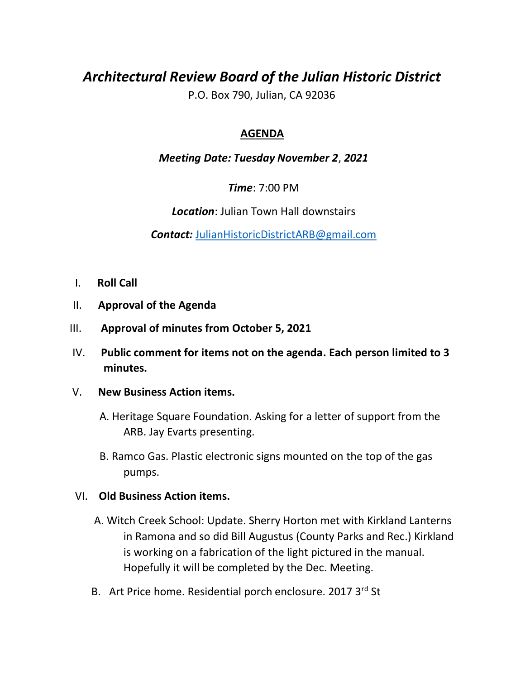# *Architectural Review Board of the Julian Historic District*

P.O. Box 790, Julian, CA 92036

# **AGENDA**

## *Meeting Date: Tuesday November 2*, *2021*

*Time*: 7:00 PM

*Location*: Julian Town Hall downstairs

*Contact:* JulianHistoricDistrictARB@gmail.com

- I. **Roll Call**
- II. **Approval of the Agenda**
- III. **Approval of minutes from October 5, 2021**
- IV. **Public comment for items not on the agenda. Each person limited to 3 minutes.**

#### V. **New Business Action items.**

 A. Heritage Square Foundation. Asking for a letter of support from the ARB. Jay Evarts presenting.

 B. Ramco Gas. Plastic electronic signs mounted on the top of the gas pumps.

#### VI. **Old Business Action items.**

- A. Witch Creek School: Update. Sherry Horton met with Kirkland Lanterns in Ramona and so did Bill Augustus (County Parks and Rec.) Kirkland is working on a fabrication of the light pictured in the manual. Hopefully it will be completed by the Dec. Meeting.
- B. Art Price home. Residential porch enclosure. 2017 3<sup>rd</sup> St